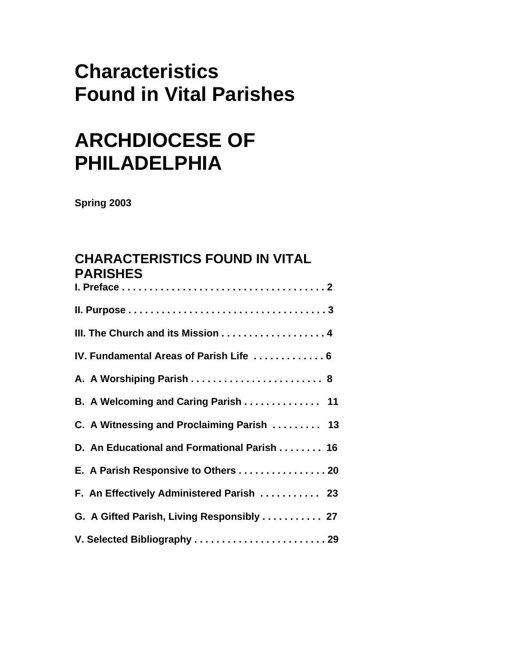# **Characteristics Found in Vital Parishes**

# **ARCHDIOCESE OF PHILADELPHIA**

**Spring 2003**

# **CHARACTERISTICS FOUND IN VITAL PARISHES**

| III. The Church and its Mission  4           |
|----------------------------------------------|
| IV. Fundamental Areas of Parish Life  6      |
| A. A Worshiping Parish  8                    |
| B. A Welcoming and Caring Parish  11         |
| C. A Witnessing and Proclaiming Parish  13   |
| D. An Educational and Formational Parish  16 |
| E. A Parish Responsive to Others 20          |
| F. An Effectively Administered Parish  23    |
| G. A Gifted Parish, Living Responsibly  27   |
|                                              |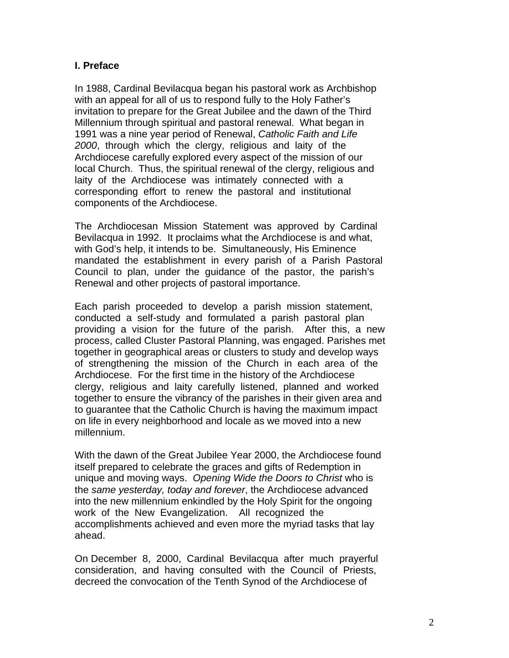## **I. Preface**

In 1988, Cardinal Bevilacqua began his pastoral work as Archbishop with an appeal for all of us to respond fully to the Holy Father's invitation to prepare for the Great Jubilee and the dawn of the Third Millennium through spiritual and pastoral renewal. What began in 1991 was a nine year period of Renewal, *Catholic Faith and Life 2000*, through which the clergy, religious and laity of the Archdiocese carefully explored every aspect of the mission of our local Church. Thus, the spiritual renewal of the clergy, religious and laity of the Archdiocese was intimately connected with a corresponding effort to renew the pastoral and institutional components of the Archdiocese.

The Archdiocesan Mission Statement was approved by Cardinal Bevilacqua in 1992. It proclaims what the Archdiocese is and what, with God's help, it intends to be. Simultaneously, His Eminence mandated the establishment in every parish of a Parish Pastoral Council to plan, under the guidance of the pastor, the parish's Renewal and other projects of pastoral importance.

Each parish proceeded to develop a parish mission statement, conducted a self-study and formulated a parish pastoral plan providing a vision for the future of the parish. After this, a new process, called Cluster Pastoral Planning, was engaged. Parishes met together in geographical areas or clusters to study and develop ways of strengthening the mission of the Church in each area of the Archdiocese. For the first time in the history of the Archdiocese clergy, religious and laity carefully listened, planned and worked together to ensure the vibrancy of the parishes in their given area and to guarantee that the Catholic Church is having the maximum impact on life in every neighborhood and locale as we moved into a new millennium.

With the dawn of the Great Jubilee Year 2000, the Archdiocese found itself prepared to celebrate the graces and gifts of Redemption in unique and moving ways. *Opening Wide the Doors to Christ* who is the *same yesterday, today and forever*, the Archdiocese advanced into the new millennium enkindled by the Holy Spirit for the ongoing work of the New Evangelization. All recognized the accomplishments achieved and even more the myriad tasks that lay ahead.

On December 8, 2000, Cardinal Bevilacqua after much prayerful consideration, and having consulted with the Council of Priests, decreed the convocation of the Tenth Synod of the Archdiocese of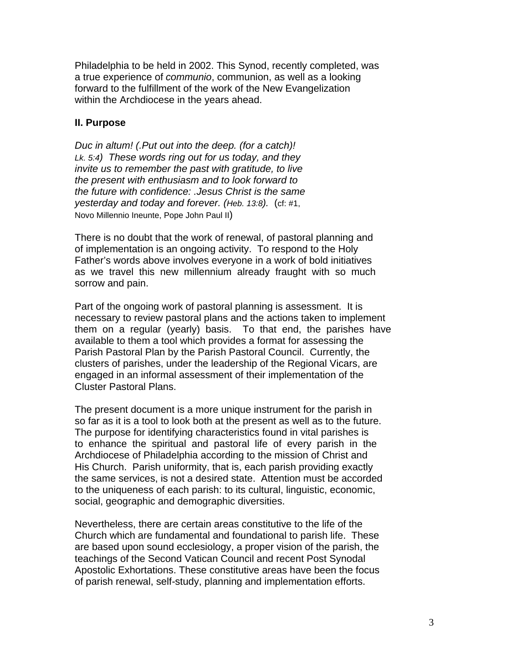Philadelphia to be held in 2002. This Synod, recently completed, was a true experience of *communio*, communion, as well as a looking forward to the fulfillment of the work of the New Evangelization within the Archdiocese in the years ahead.

### **II. Purpose**

*Duc in altum! (.Put out into the deep. (for a catch)! Lk. 5:4) These words ring out for us today, and they invite us to remember the past with gratitude, to live the present with enthusiasm and to look forward to the future with confidence: .Jesus Christ is the same yesterday and today and forever. (Heb. 13:8).* (cf: #1, Novo Millennio Ineunte, Pope John Paul II)

There is no doubt that the work of renewal, of pastoral planning and of implementation is an ongoing activity. To respond to the Holy Father's words above involves everyone in a work of bold initiatives as we travel this new millennium already fraught with so much sorrow and pain.

Part of the ongoing work of pastoral planning is assessment. It is necessary to review pastoral plans and the actions taken to implement them on a regular (yearly) basis. To that end, the parishes have available to them a tool which provides a format for assessing the Parish Pastoral Plan by the Parish Pastoral Council. Currently, the clusters of parishes, under the leadership of the Regional Vicars, are engaged in an informal assessment of their implementation of the Cluster Pastoral Plans.

The present document is a more unique instrument for the parish in so far as it is a tool to look both at the present as well as to the future. The purpose for identifying characteristics found in vital parishes is to enhance the spiritual and pastoral life of every parish in the Archdiocese of Philadelphia according to the mission of Christ and His Church. Parish uniformity, that is, each parish providing exactly the same services, is not a desired state. Attention must be accorded to the uniqueness of each parish: to its cultural, linguistic, economic, social, geographic and demographic diversities.

Nevertheless, there are certain areas constitutive to the life of the Church which are fundamental and foundational to parish life. These are based upon sound ecclesiology, a proper vision of the parish, the teachings of the Second Vatican Council and recent Post Synodal Apostolic Exhortations. These constitutive areas have been the focus of parish renewal, self-study, planning and implementation efforts.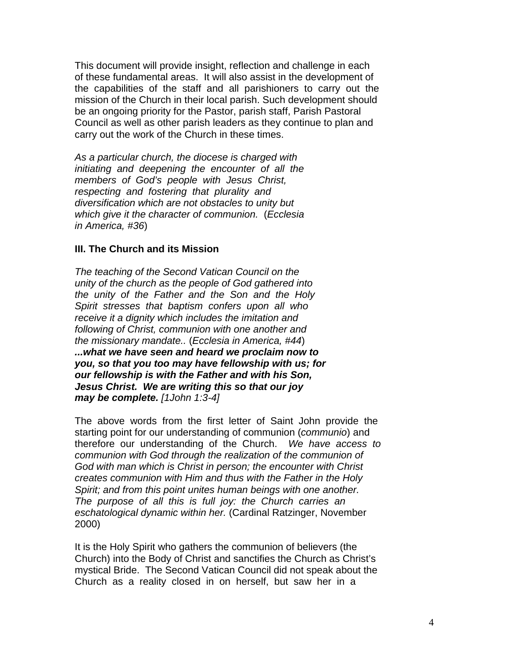This document will provide insight, reflection and challenge in each of these fundamental areas. It will also assist in the development of the capabilities of the staff and all parishioners to carry out the mission of the Church in their local parish. Such development should be an ongoing priority for the Pastor, parish staff, Parish Pastoral Council as well as other parish leaders as they continue to plan and carry out the work of the Church in these times.

*As a particular church, the diocese is charged with initiating and deepening the encounter of all the members of God's people with Jesus Christ, respecting and fostering that plurality and diversification which are not obstacles to unity but which give it the character of communion.* (*Ecclesia in America, #36*)

#### **III. The Church and its Mission**

*The teaching of the Second Vatican Council on the unity of the church as the people of God gathered into the unity of the Father and the Son and the Holy Spirit stresses that baptism confers upon all who receive it a dignity which includes the imitation and following of Christ, communion with one another and the missionary mandate..* (*Ecclesia in America, #44*) *...what we have seen and heard we proclaim now to you, so that you too may have fellowship with us; for our fellowship is with the Father and with his Son, Jesus Christ. We are writing this so that our joy may be complete. [1John 1:3-4]*

The above words from the first letter of Saint John provide the starting point for our understanding of communion (*communio*) and therefore our understanding of the Church. *We have access to communion with God through the realization of the communion of God with man which is Christ in person; the encounter with Christ creates communion with Him and thus with the Father in the Holy Spirit; and from this point unites human beings with one another. The purpose of all this is full joy: the Church carries an eschatological dynamic within her.* (Cardinal Ratzinger, November 2000)

It is the Holy Spirit who gathers the communion of believers (the Church) into the Body of Christ and sanctifies the Church as Christ's mystical Bride. The Second Vatican Council did not speak about the Church as a reality closed in on herself, but saw her in a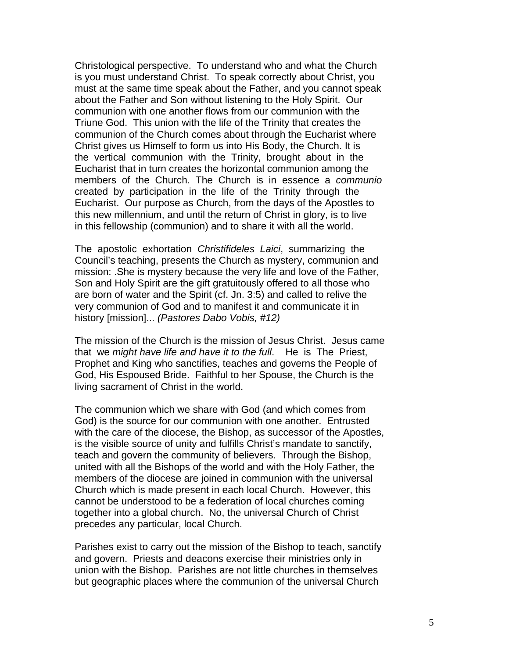Christological perspective. To understand who and what the Church is you must understand Christ. To speak correctly about Christ, you must at the same time speak about the Father, and you cannot speak about the Father and Son without listening to the Holy Spirit. Our communion with one another flows from our communion with the Triune God. This union with the life of the Trinity that creates the communion of the Church comes about through the Eucharist where Christ gives us Himself to form us into His Body, the Church. It is the vertical communion with the Trinity, brought about in the Eucharist that in turn creates the horizontal communion among the members of the Church. The Church is in essence a *communio* created by participation in the life of the Trinity through the Eucharist. Our purpose as Church, from the days of the Apostles to this new millennium, and until the return of Christ in glory, is to live in this fellowship (communion) and to share it with all the world.

The apostolic exhortation *Christifideles Laici*, summarizing the Council's teaching, presents the Church as mystery, communion and mission: .She is mystery because the very life and love of the Father, Son and Holy Spirit are the gift gratuitously offered to all those who are born of water and the Spirit (cf. Jn. 3:5) and called to relive the very communion of God and to manifest it and communicate it in history [mission]... *(Pastores Dabo Vobis, #12)*

The mission of the Church is the mission of Jesus Christ. Jesus came that we *might have life and have it to the full*. He is The Priest, Prophet and King who sanctifies, teaches and governs the People of God, His Espoused Bride. Faithful to her Spouse, the Church is the living sacrament of Christ in the world.

The communion which we share with God (and which comes from God) is the source for our communion with one another. Entrusted with the care of the diocese, the Bishop, as successor of the Apostles, is the visible source of unity and fulfills Christ's mandate to sanctify, teach and govern the community of believers. Through the Bishop, united with all the Bishops of the world and with the Holy Father, the members of the diocese are joined in communion with the universal Church which is made present in each local Church. However, this cannot be understood to be a federation of local churches coming together into a global church. No, the universal Church of Christ precedes any particular, local Church.

Parishes exist to carry out the mission of the Bishop to teach, sanctify and govern. Priests and deacons exercise their ministries only in union with the Bishop. Parishes are not little churches in themselves but geographic places where the communion of the universal Church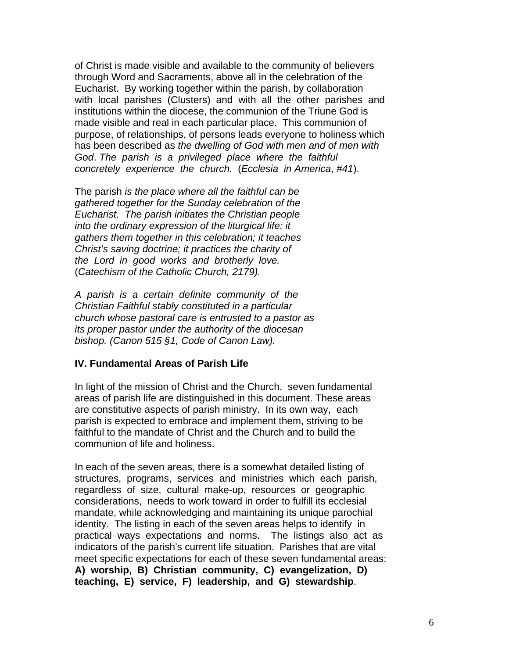of Christ is made visible and available to the community of believers through Word and Sacraments, above all in the celebration of the Eucharist. By working together within the parish, by collaboration with local parishes (Clusters) and with all the other parishes and institutions within the diocese, the communion of the Triune God is made visible and real in each particular place. This communion of purpose, of relationships, of persons leads everyone to holiness which has been described as *the dwelling of God with men and of men with God*. *The parish is a privileged place where the faithful concretely experience the church.* (*Ecclesia in America*, *#41*).

The parish *is the place where all the faithful can be gathered together for the Sunday celebration of the Eucharist. The parish initiates the Christian people into the ordinary expression of the liturgical life: it gathers them together in this celebration; it teaches Christ's saving doctrine; it practices the charity of the Lord in good works and brotherly love.* (*Catechism of the Catholic Church, 2179).*

*A parish is a certain definite community of the Christian Faithful stably constituted in a particular church whose pastoral care is entrusted to a pastor as its proper pastor under the authority of the diocesan bishop. (Canon 515 §1, Code of Canon Law).* 

### **IV. Fundamental Areas of Parish Life**

In light of the mission of Christ and the Church, seven fundamental areas of parish life are distinguished in this document. These areas are constitutive aspects of parish ministry. In its own way, each parish is expected to embrace and implement them, striving to be faithful to the mandate of Christ and the Church and to build the communion of life and holiness.

In each of the seven areas, there is a somewhat detailed listing of structures, programs, services and ministries which each parish, regardless of size, cultural make-up, resources or geographic considerations, needs to work toward in order to fulfill its ecclesial mandate, while acknowledging and maintaining its unique parochial identity. The listing in each of the seven areas helps to identify in practical ways expectations and norms. The listings also act as indicators of the parish's current life situation. Parishes that are vital meet specific expectations for each of these seven fundamental areas: **A) worship, B) Christian community, C) evangelization, D) teaching, E) service, F) leadership, and G) stewardship**.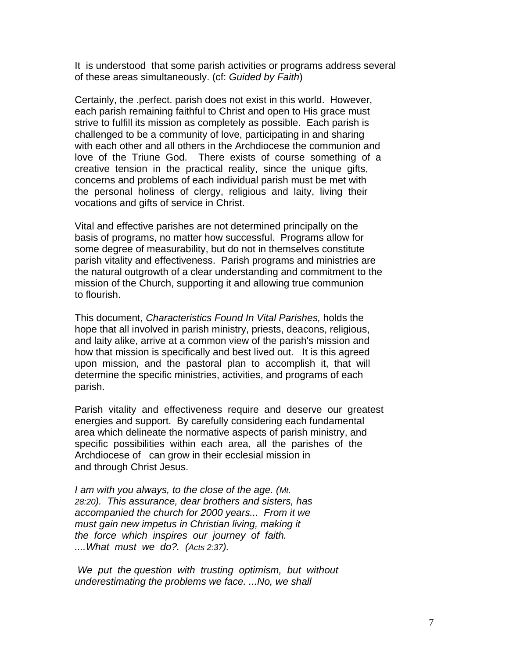It is understood that some parish activities or programs address several of these areas simultaneously. (cf: *Guided by Faith*)

Certainly, the .perfect. parish does not exist in this world. However, each parish remaining faithful to Christ and open to His grace must strive to fulfill its mission as completely as possible. Each parish is challenged to be a community of love, participating in and sharing with each other and all others in the Archdiocese the communion and love of the Triune God. There exists of course something of a creative tension in the practical reality, since the unique gifts, concerns and problems of each individual parish must be met with the personal holiness of clergy, religious and laity, living their vocations and gifts of service in Christ.

Vital and effective parishes are not determined principally on the basis of programs, no matter how successful. Programs allow for some degree of measurability, but do not in themselves constitute parish vitality and effectiveness. Parish programs and ministries are the natural outgrowth of a clear understanding and commitment to the mission of the Church, supporting it and allowing true communion to flourish.

This document, *Characteristics Found In Vital Parishes,* holds the hope that all involved in parish ministry, priests, deacons, religious, and laity alike, arrive at a common view of the parish's mission and how that mission is specifically and best lived out. It is this agreed upon mission, and the pastoral plan to accomplish it, that will determine the specific ministries, activities, and programs of each parish.

Parish vitality and effectiveness require and deserve our greatest energies and support. By carefully considering each fundamental area which delineate the normative aspects of parish ministry, and specific possibilities within each area, all the parishes of the Archdiocese of can grow in their ecclesial mission in and through Christ Jesus.

*I am with you always, to the close of the age. (Mt. 28:20). This assurance, dear brothers and sisters, has accompanied the church for 2000 years... From it we must gain new impetus in Christian living, making it the force which inspires our journey of faith. ....What must we do?. (Acts 2:37).* 

 *We put the question with trusting optimism, but without underestimating the problems we face. ...No, we shall*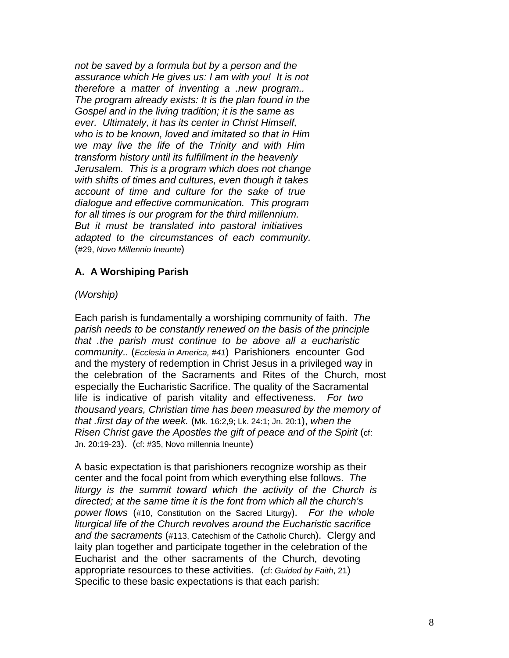*not be saved by a formula but by a person and the assurance which He gives us: I am with you! It is not therefore a matter of inventing a .new program.. The program already exists: It is the plan found in the Gospel and in the living tradition; it is the same as ever. Ultimately, it has its center in Christ Himself, who is to be known, loved and imitated so that in Him we may live the life of the Trinity and with Him transform history until its fulfillment in the heavenly Jerusalem. This is a program which does not change with shifts of times and cultures, even though it takes account of time and culture for the sake of true dialogue and effective communication. This program for all times is our program for the third millennium. But it must be translated into pastoral initiatives adapted to the circumstances of each community.* (#29, *Novo Millennio Ineunte*)

# **A. A Worshiping Parish**

### *(Worship)*

Each parish is fundamentally a worshiping community of faith. *The parish needs to be constantly renewed on the basis of the principle that .the parish must continue to be above all a eucharistic community..* (*Ecclesia in America, #41*) Parishioners encounter God and the mystery of redemption in Christ Jesus in a privileged way in the celebration of the Sacraments and Rites of the Church, most especially the Eucharistic Sacrifice. The quality of the Sacramental life is indicative of parish vitality and effectiveness. *For two thousand years, Christian time has been measured by the memory of that .first day of the week.* (Mk. 16:2,9; Lk. 24:1; Jn. 20:1), *when the Risen Christ gave the Apostles the gift of peace and of the Spirit* (cf: Jn. 20:19-23). (cf: #35, Novo millennia Ineunte)

A basic expectation is that parishioners recognize worship as their center and the focal point from which everything else follows. *The liturgy is the summit toward which the activity of the Church is directed; at the same time it is the font from which all the church's power flows* (#10, Constitution on the Sacred Liturgy). *For the whole liturgical life of the Church revolves around the Eucharistic sacrifice and the sacraments* (#113, Catechism of the Catholic Church). Clergy and laity plan together and participate together in the celebration of the Eucharist and the other sacraments of the Church, devoting appropriate resources to these activities. (cf: *Guided by Faith*, 21) Specific to these basic expectations is that each parish: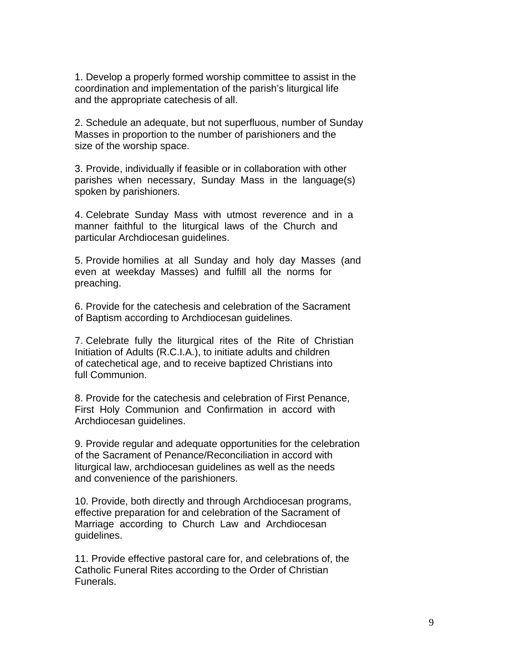1. Develop a properly formed worship committee to assist in the coordination and implementation of the parish's liturgical life and the appropriate catechesis of all.

2. Schedule an adequate, but not superfluous, number of Sunday Masses in proportion to the number of parishioners and the size of the worship space.

3. Provide, individually if feasible or in collaboration with other parishes when necessary, Sunday Mass in the language(s) spoken by parishioners.

4. Celebrate Sunday Mass with utmost reverence and in a manner faithful to the liturgical laws of the Church and particular Archdiocesan guidelines.

5. Provide homilies at all Sunday and holy day Masses (and even at weekday Masses) and fulfill all the norms for preaching.

6. Provide for the catechesis and celebration of the Sacrament of Baptism according to Archdiocesan guidelines.

7. Celebrate fully the liturgical rites of the Rite of Christian Initiation of Adults (R.C.I.A.), to initiate adults and children of catechetical age, and to receive baptized Christians into full Communion.

8. Provide for the catechesis and celebration of First Penance, First Holy Communion and Confirmation in accord with Archdiocesan guidelines.

9. Provide regular and adequate opportunities for the celebration of the Sacrament of Penance/Reconciliation in accord with liturgical law, archdiocesan guidelines as well as the needs and convenience of the parishioners.

10. Provide, both directly and through Archdiocesan programs, effective preparation for and celebration of the Sacrament of Marriage according to Church Law and Archdiocesan guidelines.

11. Provide effective pastoral care for, and celebrations of, the Catholic Funeral Rites according to the Order of Christian Funerals.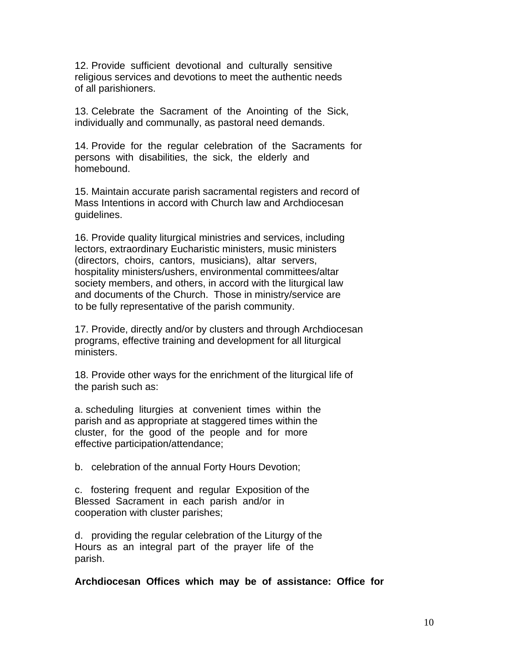12. Provide sufficient devotional and culturally sensitive religious services and devotions to meet the authentic needs of all parishioners.

13. Celebrate the Sacrament of the Anointing of the Sick, individually and communally, as pastoral need demands.

14. Provide for the regular celebration of the Sacraments for persons with disabilities, the sick, the elderly and homebound.

15. Maintain accurate parish sacramental registers and record of Mass Intentions in accord with Church law and Archdiocesan guidelines.

16. Provide quality liturgical ministries and services, including lectors, extraordinary Eucharistic ministers, music ministers (directors, choirs, cantors, musicians), altar servers, hospitality ministers/ushers, environmental committees/altar society members, and others, in accord with the liturgical law and documents of the Church. Those in ministry/service are to be fully representative of the parish community.

17. Provide, directly and/or by clusters and through Archdiocesan programs, effective training and development for all liturgical ministers.

18. Provide other ways for the enrichment of the liturgical life of the parish such as:

a. scheduling liturgies at convenient times within the parish and as appropriate at staggered times within the cluster, for the good of the people and for more effective participation/attendance;

b. celebration of the annual Forty Hours Devotion;

c. fostering frequent and regular Exposition of the Blessed Sacrament in each parish and/or in cooperation with cluster parishes;

d. providing the regular celebration of the Liturgy of the Hours as an integral part of the prayer life of the parish.

### **Archdiocesan Offices which may be of assistance: Office for**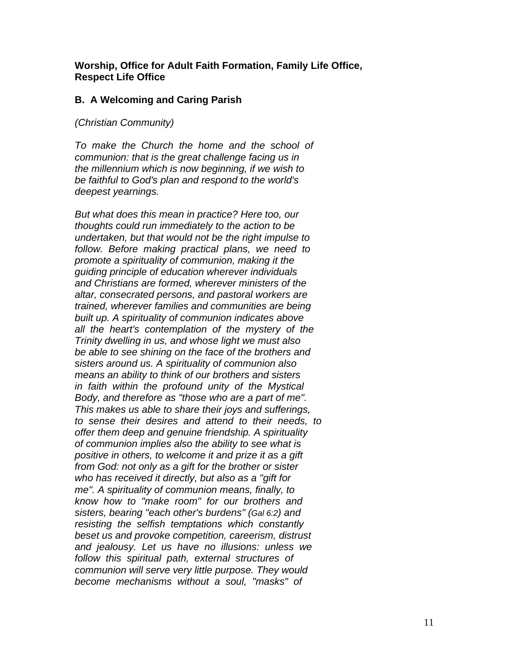#### **Worship, Office for Adult Faith Formation, Family Life Office, Respect Life Office**

#### **B. A Welcoming and Caring Parish**

#### *(Christian Community)*

*To make the Church the home and the school of communion: that is the great challenge facing us in the millennium which is now beginning, if we wish to be faithful to God's plan and respond to the world's deepest yearnings.* 

*But what does this mean in practice? Here too, our thoughts could run immediately to the action to be undertaken, but that would not be the right impulse to follow. Before making practical plans, we need to promote a spirituality of communion, making it the guiding principle of education wherever individuals and Christians are formed, wherever ministers of the altar, consecrated persons, and pastoral workers are trained, wherever families and communities are being built up. A spirituality of communion indicates above all the heart's contemplation of the mystery of the Trinity dwelling in us, and whose light we must also be able to see shining on the face of the brothers and sisters around us. A spirituality of communion also means an ability to think of our brothers and sisters in faith within the profound unity of the Mystical Body, and therefore as "those who are a part of me". This makes us able to share their joys and sufferings, to sense their desires and attend to their needs, to offer them deep and genuine friendship. A spirituality of communion implies also the ability to see what is positive in others, to welcome it and prize it as a gift from God: not only as a gift for the brother or sister who has received it directly, but also as a "gift for me". A spirituality of communion means, finally, to know how to "make room" for our brothers and sisters, bearing "each other's burdens" (Gal 6:2) and resisting the selfish temptations which constantly beset us and provoke competition, careerism, distrust and jealousy. Let us have no illusions: unless we follow this spiritual path, external structures of communion will serve very little purpose. They would become mechanisms without a soul, "masks" of*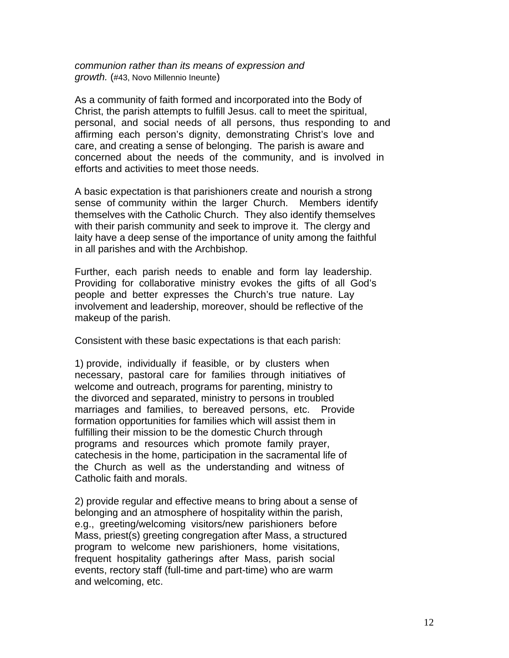*communion rather than its means of expression and growth.* (#43, Novo Millennio Ineunte)

As a community of faith formed and incorporated into the Body of Christ, the parish attempts to fulfill Jesus. call to meet the spiritual, personal, and social needs of all persons, thus responding to and affirming each person's dignity, demonstrating Christ's love and care, and creating a sense of belonging. The parish is aware and concerned about the needs of the community, and is involved in efforts and activities to meet those needs.

A basic expectation is that parishioners create and nourish a strong sense of community within the larger Church. Members identify themselves with the Catholic Church. They also identify themselves with their parish community and seek to improve it. The clergy and laity have a deep sense of the importance of unity among the faithful in all parishes and with the Archbishop.

Further, each parish needs to enable and form lay leadership. Providing for collaborative ministry evokes the gifts of all God's people and better expresses the Church's true nature. Lay involvement and leadership, moreover, should be reflective of the makeup of the parish.

Consistent with these basic expectations is that each parish:

1) provide, individually if feasible, or by clusters when necessary, pastoral care for families through initiatives of welcome and outreach, programs for parenting, ministry to the divorced and separated, ministry to persons in troubled marriages and families, to bereaved persons, etc. Provide formation opportunities for families which will assist them in fulfilling their mission to be the domestic Church through programs and resources which promote family prayer, catechesis in the home, participation in the sacramental life of the Church as well as the understanding and witness of Catholic faith and morals.

2) provide regular and effective means to bring about a sense of belonging and an atmosphere of hospitality within the parish, e.g., greeting/welcoming visitors/new parishioners before Mass, priest(s) greeting congregation after Mass, a structured program to welcome new parishioners, home visitations, frequent hospitality gatherings after Mass, parish social events, rectory staff (full-time and part-time) who are warm and welcoming, etc.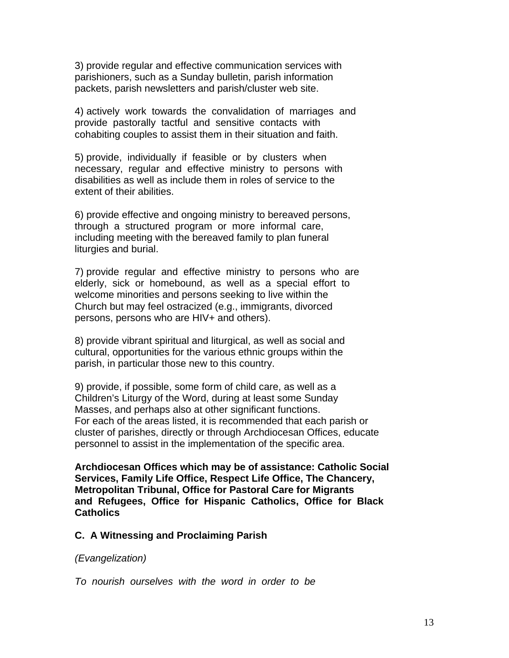3) provide regular and effective communication services with parishioners, such as a Sunday bulletin, parish information packets, parish newsletters and parish/cluster web site.

4) actively work towards the convalidation of marriages and provide pastorally tactful and sensitive contacts with cohabiting couples to assist them in their situation and faith.

5) provide, individually if feasible or by clusters when necessary, regular and effective ministry to persons with disabilities as well as include them in roles of service to the extent of their abilities.

6) provide effective and ongoing ministry to bereaved persons, through a structured program or more informal care, including meeting with the bereaved family to plan funeral liturgies and burial.

7) provide regular and effective ministry to persons who are elderly, sick or homebound, as well as a special effort to welcome minorities and persons seeking to live within the Church but may feel ostracized (e.g., immigrants, divorced persons, persons who are HIV+ and others).

8) provide vibrant spiritual and liturgical, as well as social and cultural, opportunities for the various ethnic groups within the parish, in particular those new to this country.

9) provide, if possible, some form of child care, as well as a Children's Liturgy of the Word, during at least some Sunday Masses, and perhaps also at other significant functions. For each of the areas listed, it is recommended that each parish or cluster of parishes, directly or through Archdiocesan Offices, educate personnel to assist in the implementation of the specific area.

**Archdiocesan Offices which may be of assistance: Catholic Social Services, Family Life Office, Respect Life Office, The Chancery, Metropolitan Tribunal, Office for Pastoral Care for Migrants and Refugees, Office for Hispanic Catholics, Office for Black Catholics**

### **C. A Witnessing and Proclaiming Parish**

### *(Evangelization)*

*To nourish ourselves with the word in order to be*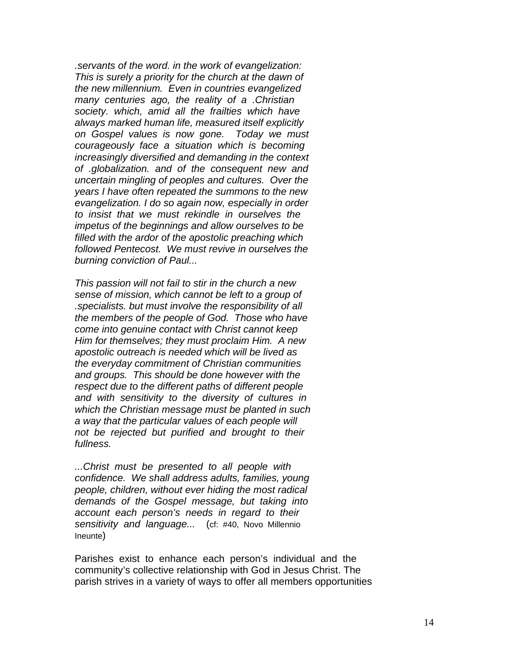*.servants of the word. in the work of evangelization: This is surely a priority for the church at the dawn of the new millennium. Even in countries evangelized many centuries ago, the reality of a .Christian society. which, amid all the frailties which have always marked human life, measured itself explicitly on Gospel values is now gone. Today we must courageously face a situation which is becoming increasingly diversified and demanding in the context of .globalization. and of the consequent new and uncertain mingling of peoples and cultures. Over the years I have often repeated the summons to the new evangelization. I do so again now, especially in order to insist that we must rekindle in ourselves the impetus of the beginnings and allow ourselves to be filled with the ardor of the apostolic preaching which followed Pentecost. We must revive in ourselves the burning conviction of Paul...*

*This passion will not fail to stir in the church a new sense of mission, which cannot be left to a group of .specialists. but must involve the responsibility of all the members of the people of God. Those who have come into genuine contact with Christ cannot keep Him for themselves; they must proclaim Him. A new apostolic outreach is needed which will be lived as the everyday commitment of Christian communities and groups. This should be done however with the respect due to the different paths of different people and with sensitivity to the diversity of cultures in which the Christian message must be planted in such a way that the particular values of each people will not be rejected but purified and brought to their fullness.*

*...Christ must be presented to all people with confidence. We shall address adults, families, young people, children, without ever hiding the most radical demands of the Gospel message, but taking into account each person's needs in regard to their sensitivity and language...* (cf: #40, Novo Millennio Ineunte)

Parishes exist to enhance each person's individual and the community's collective relationship with God in Jesus Christ. The parish strives in a variety of ways to offer all members opportunities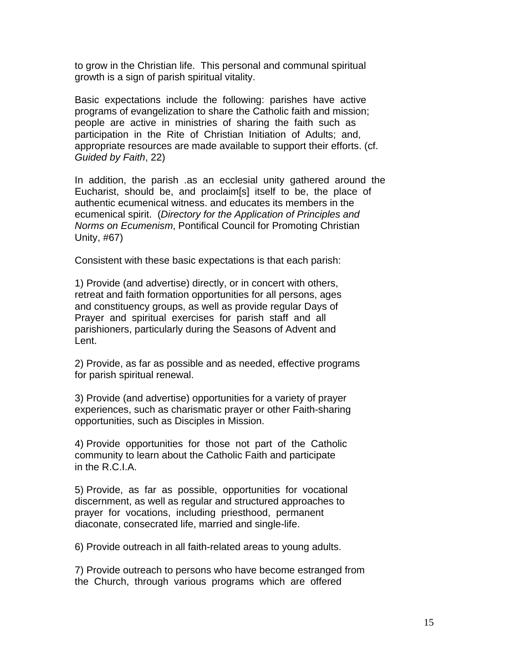to grow in the Christian life. This personal and communal spiritual growth is a sign of parish spiritual vitality.

Basic expectations include the following: parishes have active programs of evangelization to share the Catholic faith and mission; people are active in ministries of sharing the faith such as participation in the Rite of Christian Initiation of Adults; and, appropriate resources are made available to support their efforts. (cf. *Guided by Faith*, 22)

In addition, the parish .as an ecclesial unity gathered around the Eucharist, should be, and proclaim[s] itself to be, the place of authentic ecumenical witness. and educates its members in the ecumenical spirit. (*Directory for the Application of Principles and Norms on Ecumenism*, Pontifical Council for Promoting Christian Unity, #67)

Consistent with these basic expectations is that each parish:

1) Provide (and advertise) directly, or in concert with others, retreat and faith formation opportunities for all persons, ages and constituency groups, as well as provide regular Days of Prayer and spiritual exercises for parish staff and all parishioners, particularly during the Seasons of Advent and Lent.

2) Provide, as far as possible and as needed, effective programs for parish spiritual renewal.

3) Provide (and advertise) opportunities for a variety of prayer experiences, such as charismatic prayer or other Faith-sharing opportunities, such as Disciples in Mission.

4) Provide opportunities for those not part of the Catholic community to learn about the Catholic Faith and participate in the R.C.I.A.

5) Provide, as far as possible, opportunities for vocational discernment, as well as regular and structured approaches to prayer for vocations, including priesthood, permanent diaconate, consecrated life, married and single-life.

6) Provide outreach in all faith-related areas to young adults.

7) Provide outreach to persons who have become estranged from the Church, through various programs which are offered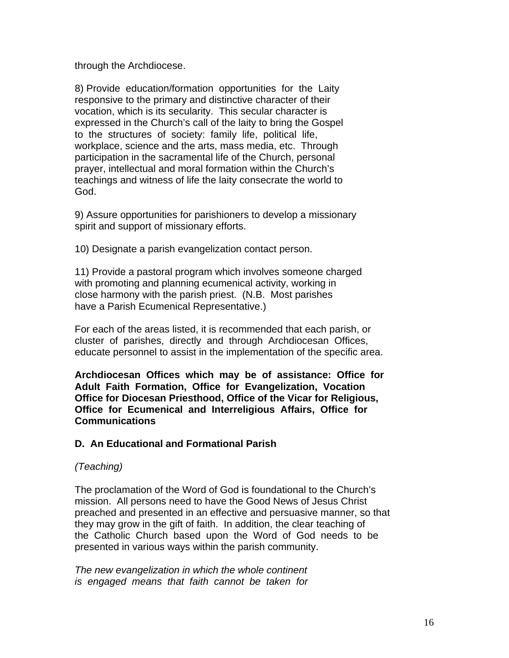through the Archdiocese.

8) Provide education/formation opportunities for the Laity responsive to the primary and distinctive character of their vocation, which is its secularity. This secular character is expressed in the Church's call of the laity to bring the Gospel to the structures of society: family life, political life, workplace, science and the arts, mass media, etc. Through participation in the sacramental life of the Church, personal prayer, intellectual and moral formation within the Church's teachings and witness of life the laity consecrate the world to God.

9) Assure opportunities for parishioners to develop a missionary spirit and support of missionary efforts.

10) Designate a parish evangelization contact person.

11) Provide a pastoral program which involves someone charged with promoting and planning ecumenical activity, working in close harmony with the parish priest. (N.B. Most parishes have a Parish Ecumenical Representative.)

For each of the areas listed, it is recommended that each parish, or cluster of parishes, directly and through Archdiocesan Offices, educate personnel to assist in the implementation of the specific area.

**Archdiocesan Offices which may be of assistance: Office for Adult Faith Formation, Office for Evangelization, Vocation Office for Diocesan Priesthood, Office of the Vicar for Religious, Office for Ecumenical and Interreligious Affairs, Office for Communications**

### **D. An Educational and Formational Parish**

### *(Teaching)*

The proclamation of the Word of God is foundational to the Church's mission. All persons need to have the Good News of Jesus Christ preached and presented in an effective and persuasive manner, so that they may grow in the gift of faith. In addition, the clear teaching of the Catholic Church based upon the Word of God needs to be presented in various ways within the parish community.

*The new evangelization in which the whole continent is engaged means that faith cannot be taken for*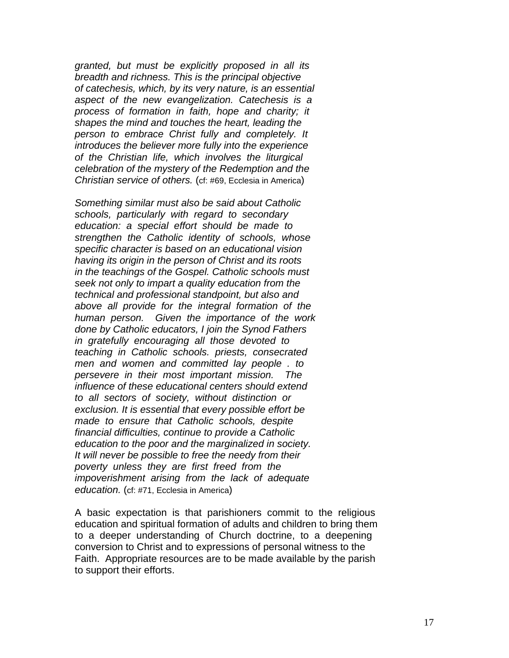*granted, but must be explicitly proposed in all its breadth and richness. This is the principal objective of catechesis, which, by its very nature, is an essential aspect of the new evangelization. Catechesis is a process of formation in faith, hope and charity; it shapes the mind and touches the heart, leading the person to embrace Christ fully and completely. It introduces the believer more fully into the experience of the Christian life, which involves the liturgical celebration of the mystery of the Redemption and the Christian service of others.* (cf: #69, Ecclesia in America)

*Something similar must also be said about Catholic schools, particularly with regard to secondary education: a special effort should be made to strengthen the Catholic identity of schools, whose specific character is based on an educational vision having its origin in the person of Christ and its roots in the teachings of the Gospel. Catholic schools must seek not only to impart a quality education from the technical and professional standpoint, but also and above all provide for the integral formation of the human person. Given the importance of the work done by Catholic educators, I join the Synod Fathers in gratefully encouraging all those devoted to teaching in Catholic schools. priests, consecrated men and women and committed lay people . to persevere in their most important mission. The influence of these educational centers should extend to all sectors of society, without distinction or exclusion. It is essential that every possible effort be made to ensure that Catholic schools, despite financial difficulties, continue to provide a Catholic education to the poor and the marginalized in society. It will never be possible to free the needy from their poverty unless they are first freed from the impoverishment arising from the lack of adequate education.* (cf: #71, Ecclesia in America)

A basic expectation is that parishioners commit to the religious education and spiritual formation of adults and children to bring them to a deeper understanding of Church doctrine, to a deepening conversion to Christ and to expressions of personal witness to the Faith. Appropriate resources are to be made available by the parish to support their efforts.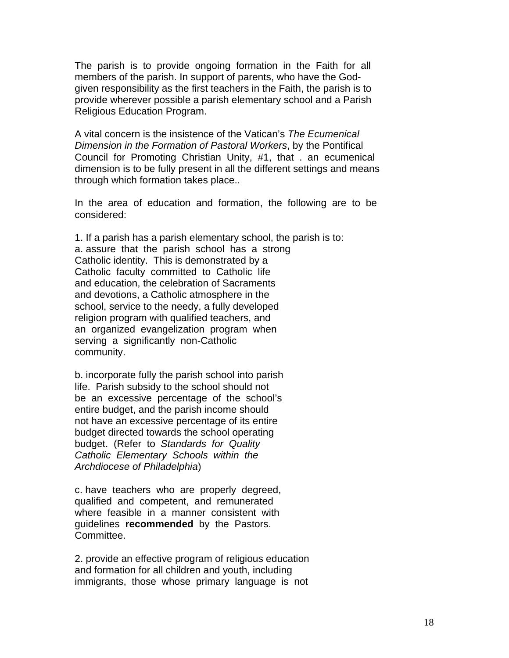The parish is to provide ongoing formation in the Faith for all members of the parish. In support of parents, who have the Godgiven responsibility as the first teachers in the Faith, the parish is to provide wherever possible a parish elementary school and a Parish Religious Education Program.

A vital concern is the insistence of the Vatican's *The Ecumenical Dimension in the Formation of Pastoral Workers*, by the Pontifical Council for Promoting Christian Unity, #1, that . an ecumenical dimension is to be fully present in all the different settings and means through which formation takes place..

In the area of education and formation, the following are to be considered:

1. If a parish has a parish elementary school, the parish is to: a. assure that the parish school has a strong Catholic identity. This is demonstrated by a Catholic faculty committed to Catholic life and education, the celebration of Sacraments and devotions, a Catholic atmosphere in the school, service to the needy, a fully developed religion program with qualified teachers, and an organized evangelization program when serving a significantly non-Catholic community.

b. incorporate fully the parish school into parish life. Parish subsidy to the school should not be an excessive percentage of the school's entire budget, and the parish income should not have an excessive percentage of its entire budget directed towards the school operating budget. (Refer to *Standards for Quality Catholic Elementary Schools within the Archdiocese of Philadelphia*)

c. have teachers who are properly degreed, qualified and competent, and remunerated where feasible in a manner consistent with guidelines **recommended** by the Pastors. Committee.

2. provide an effective program of religious education and formation for all children and youth, including immigrants, those whose primary language is not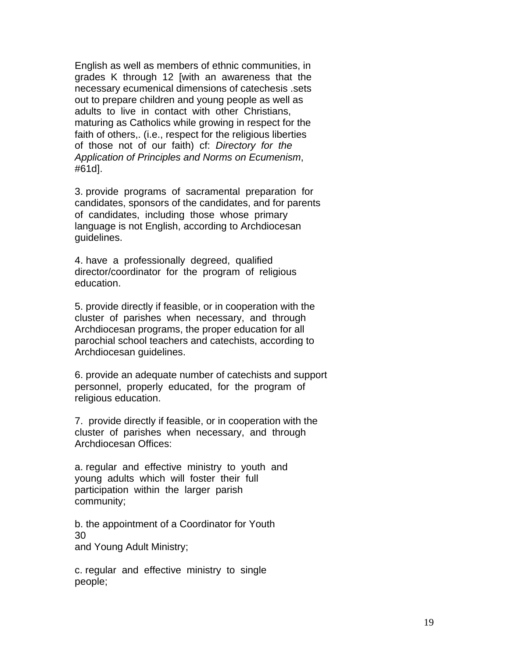English as well as members of ethnic communities, in grades K through 12 [with an awareness that the necessary ecumenical dimensions of catechesis .sets out to prepare children and young people as well as adults to live in contact with other Christians, maturing as Catholics while growing in respect for the faith of others,. (i.e., respect for the religious liberties of those not of our faith) cf: *Directory for the Application of Principles and Norms on Ecumenism*, #61d].

3. provide programs of sacramental preparation for candidates, sponsors of the candidates, and for parents of candidates, including those whose primary language is not English, according to Archdiocesan guidelines.

4. have a professionally degreed, qualified director/coordinator for the program of religious education.

5. provide directly if feasible, or in cooperation with the cluster of parishes when necessary, and through Archdiocesan programs, the proper education for all parochial school teachers and catechists, according to Archdiocesan guidelines.

6. provide an adequate number of catechists and support personnel, properly educated, for the program of religious education.

7. provide directly if feasible, or in cooperation with the cluster of parishes when necessary, and through Archdiocesan Offices:

a. regular and effective ministry to youth and young adults which will foster their full participation within the larger parish community;

b. the appointment of a Coordinator for Youth 30 and Young Adult Ministry;

c. regular and effective ministry to single people;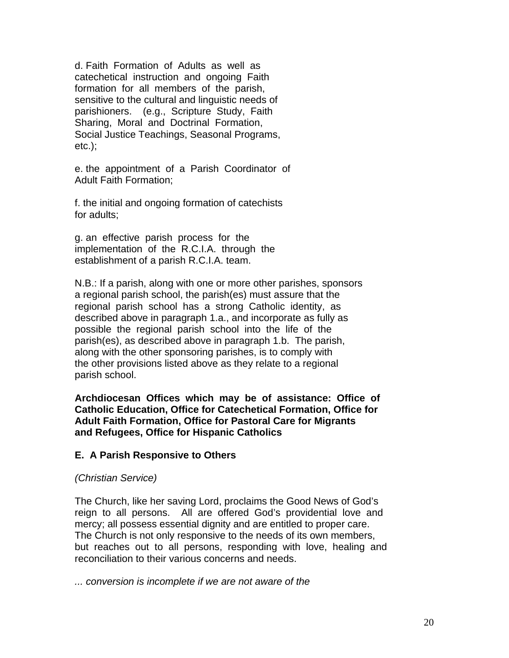d. Faith Formation of Adults as well as catechetical instruction and ongoing Faith formation for all members of the parish, sensitive to the cultural and linguistic needs of parishioners. (e.g., Scripture Study, Faith Sharing, Moral and Doctrinal Formation, Social Justice Teachings, Seasonal Programs,  $etc.$ );

e. the appointment of a Parish Coordinator of Adult Faith Formation;

f. the initial and ongoing formation of catechists for adults;

g. an effective parish process for the implementation of the R.C.I.A. through the establishment of a parish R.C.I.A. team.

N.B.: If a parish, along with one or more other parishes, sponsors a regional parish school, the parish(es) must assure that the regional parish school has a strong Catholic identity, as described above in paragraph 1.a., and incorporate as fully as possible the regional parish school into the life of the parish(es), as described above in paragraph 1.b. The parish, along with the other sponsoring parishes, is to comply with the other provisions listed above as they relate to a regional parish school.

**Archdiocesan Offices which may be of assistance: Office of Catholic Education, Office for Catechetical Formation, Office for Adult Faith Formation, Office for Pastoral Care for Migrants and Refugees, Office for Hispanic Catholics**

### **E. A Parish Responsive to Others**

#### *(Christian Service)*

The Church, like her saving Lord, proclaims the Good News of God's reign to all persons. All are offered God's providential love and mercy; all possess essential dignity and are entitled to proper care. The Church is not only responsive to the needs of its own members, but reaches out to all persons, responding with love, healing and reconciliation to their various concerns and needs.

*... conversion is incomplete if we are not aware of the*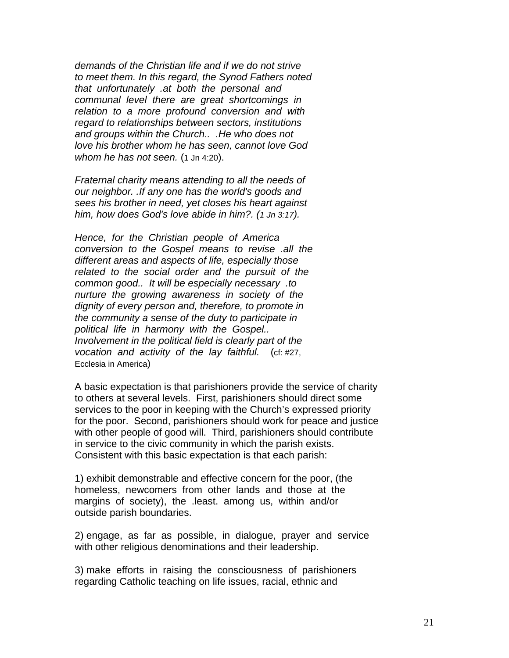*demands of the Christian life and if we do not strive to meet them. In this regard, the Synod Fathers noted that unfortunately .at both the personal and communal level there are great shortcomings in relation to a more profound conversion and with regard to relationships between sectors, institutions and groups within the Church.. .He who does not love his brother whom he has seen, cannot love God whom he has not seen.* (1 Jn 4:20).

*Fraternal charity means attending to all the needs of our neighbor. .If any one has the world's goods and sees his brother in need, yet closes his heart against him, how does God's love abide in him?. (1 Jn 3:17).*

*Hence, for the Christian people of America conversion to the Gospel means to revise .all the different areas and aspects of life, especially those related to the social order and the pursuit of the common good.. It will be especially necessary .to nurture the growing awareness in society of the dignity of every person and, therefore, to promote in the community a sense of the duty to participate in political life in harmony with the Gospel.. Involvement in the political field is clearly part of the vocation and activity of the lay faithful.* (cf: #27, Ecclesia in America)

A basic expectation is that parishioners provide the service of charity to others at several levels. First, parishioners should direct some services to the poor in keeping with the Church's expressed priority for the poor. Second, parishioners should work for peace and justice with other people of good will. Third, parishioners should contribute in service to the civic community in which the parish exists. Consistent with this basic expectation is that each parish:

1) exhibit demonstrable and effective concern for the poor, (the homeless, newcomers from other lands and those at the margins of society), the .least. among us, within and/or outside parish boundaries.

2) engage, as far as possible, in dialogue, prayer and service with other religious denominations and their leadership.

3) make efforts in raising the consciousness of parishioners regarding Catholic teaching on life issues, racial, ethnic and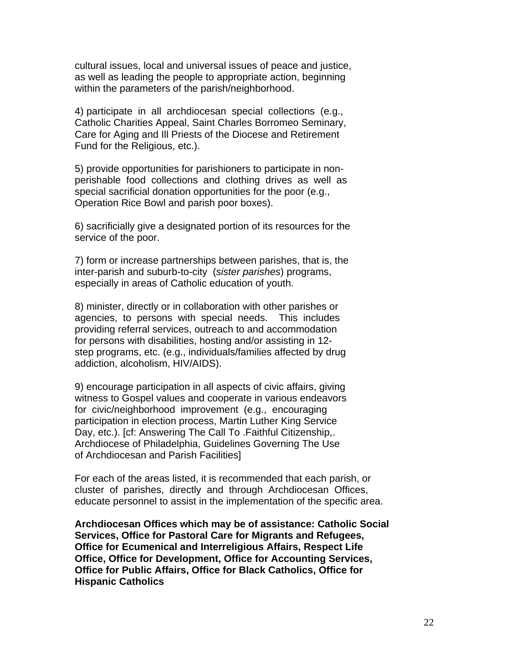cultural issues, local and universal issues of peace and justice, as well as leading the people to appropriate action, beginning within the parameters of the parish/neighborhood.

4) participate in all archdiocesan special collections (e.g., Catholic Charities Appeal, Saint Charles Borromeo Seminary, Care for Aging and Ill Priests of the Diocese and Retirement Fund for the Religious, etc.).

5) provide opportunities for parishioners to participate in nonperishable food collections and clothing drives as well as special sacrificial donation opportunities for the poor (e.g., Operation Rice Bowl and parish poor boxes).

6) sacrificially give a designated portion of its resources for the service of the poor.

7) form or increase partnerships between parishes, that is, the inter-parish and suburb-to-city (*sister parishes*) programs, especially in areas of Catholic education of youth.

8) minister, directly or in collaboration with other parishes or agencies, to persons with special needs. This includes providing referral services, outreach to and accommodation for persons with disabilities, hosting and/or assisting in 12 step programs, etc. (e.g., individuals/families affected by drug addiction, alcoholism, HIV/AIDS).

9) encourage participation in all aspects of civic affairs, giving witness to Gospel values and cooperate in various endeavors for civic/neighborhood improvement (e.g., encouraging participation in election process, Martin Luther King Service Day, etc.). [cf: Answering The Call To .Faithful Citizenship,. Archdiocese of Philadelphia, Guidelines Governing The Use of Archdiocesan and Parish Facilities]

For each of the areas listed, it is recommended that each parish, or cluster of parishes, directly and through Archdiocesan Offices, educate personnel to assist in the implementation of the specific area.

**Archdiocesan Offices which may be of assistance: Catholic Social Services, Office for Pastoral Care for Migrants and Refugees, Office for Ecumenical and Interreligious Affairs, Respect Life Office, Office for Development, Office for Accounting Services, Office for Public Affairs, Office for Black Catholics, Office for Hispanic Catholics**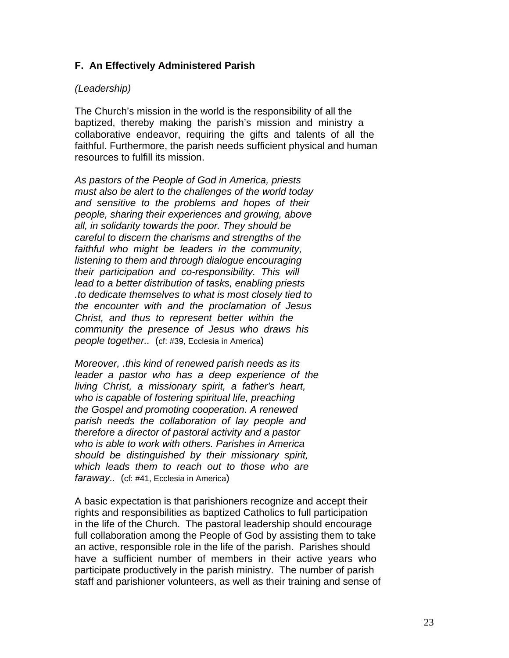## **F. An Effectively Administered Parish**

#### *(Leadership)*

The Church's mission in the world is the responsibility of all the baptized, thereby making the parish's mission and ministry a collaborative endeavor, requiring the gifts and talents of all the faithful. Furthermore, the parish needs sufficient physical and human resources to fulfill its mission.

*As pastors of the People of God in America, priests must also be alert to the challenges of the world today and sensitive to the problems and hopes of their people, sharing their experiences and growing, above all, in solidarity towards the poor. They should be careful to discern the charisms and strengths of the faithful who might be leaders in the community, listening to them and through dialogue encouraging their participation and co-responsibility. This will lead to a better distribution of tasks, enabling priests .to dedicate themselves to what is most closely tied to the encounter with and the proclamation of Jesus Christ, and thus to represent better within the community the presence of Jesus who draws his people together..* (cf: #39, Ecclesia in America)

*Moreover, .this kind of renewed parish needs as its leader a pastor who has a deep experience of the living Christ, a missionary spirit, a father's heart, who is capable of fostering spiritual life, preaching the Gospel and promoting cooperation. A renewed parish needs the collaboration of lay people and therefore a director of pastoral activity and a pastor who is able to work with others. Parishes in America should be distinguished by their missionary spirit, which leads them to reach out to those who are faraway..* (cf: #41, Ecclesia in America)

A basic expectation is that parishioners recognize and accept their rights and responsibilities as baptized Catholics to full participation in the life of the Church. The pastoral leadership should encourage full collaboration among the People of God by assisting them to take an active, responsible role in the life of the parish. Parishes should have a sufficient number of members in their active years who participate productively in the parish ministry. The number of parish staff and parishioner volunteers, as well as their training and sense of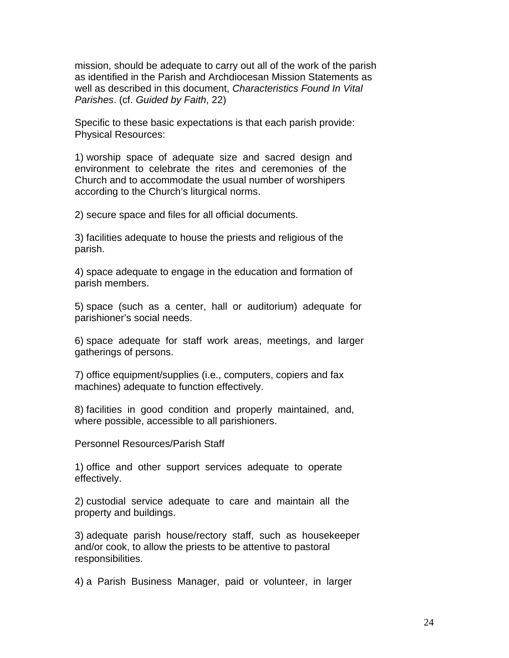mission, should be adequate to carry out all of the work of the parish as identified in the Parish and Archdiocesan Mission Statements as well as described in this document, *Characteristics Found In Vital Parishes*. (cf. *Guided by Faith*, 22)

Specific to these basic expectations is that each parish provide: Physical Resources:

1) worship space of adequate size and sacred design and environment to celebrate the rites and ceremonies of the Church and to accommodate the usual number of worshipers according to the Church's liturgical norms.

2) secure space and files for all official documents.

3) facilities adequate to house the priests and religious of the parish.

4) space adequate to engage in the education and formation of parish members.

5) space (such as a center, hall or auditorium) adequate for parishioner's social needs.

6) space adequate for staff work areas, meetings, and larger gatherings of persons.

7) office equipment/supplies (i.e., computers, copiers and fax machines) adequate to function effectively.

8) facilities in good condition and properly maintained, and, where possible, accessible to all parishioners.

Personnel Resources/Parish Staff

1) office and other support services adequate to operate effectively.

2) custodial service adequate to care and maintain all the property and buildings.

3) adequate parish house/rectory staff, such as housekeeper and/or cook, to allow the priests to be attentive to pastoral responsibilities.

4) a Parish Business Manager, paid or volunteer, in larger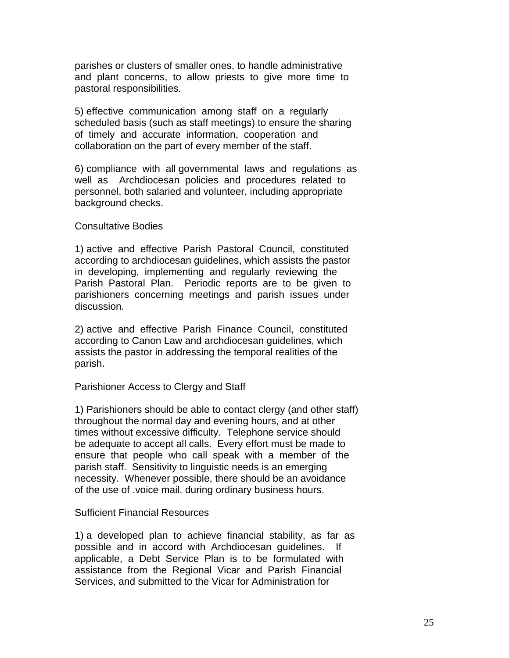parishes or clusters of smaller ones, to handle administrative and plant concerns, to allow priests to give more time to pastoral responsibilities.

5) effective communication among staff on a regularly scheduled basis (such as staff meetings) to ensure the sharing of timely and accurate information, cooperation and collaboration on the part of every member of the staff.

6) compliance with all governmental laws and regulations as well as Archdiocesan policies and procedures related to personnel, both salaried and volunteer, including appropriate background checks.

#### Consultative Bodies

1) active and effective Parish Pastoral Council, constituted according to archdiocesan guidelines, which assists the pastor in developing, implementing and regularly reviewing the Parish Pastoral Plan. Periodic reports are to be given to parishioners concerning meetings and parish issues under discussion.

2) active and effective Parish Finance Council, constituted according to Canon Law and archdiocesan guidelines, which assists the pastor in addressing the temporal realities of the parish.

### Parishioner Access to Clergy and Staff

1) Parishioners should be able to contact clergy (and other staff) throughout the normal day and evening hours, and at other times without excessive difficulty. Telephone service should be adequate to accept all calls. Every effort must be made to ensure that people who call speak with a member of the parish staff. Sensitivity to linguistic needs is an emerging necessity. Whenever possible, there should be an avoidance of the use of .voice mail. during ordinary business hours.

#### Sufficient Financial Resources

1) a developed plan to achieve financial stability, as far as possible and in accord with Archdiocesan guidelines. If applicable, a Debt Service Plan is to be formulated with assistance from the Regional Vicar and Parish Financial Services, and submitted to the Vicar for Administration for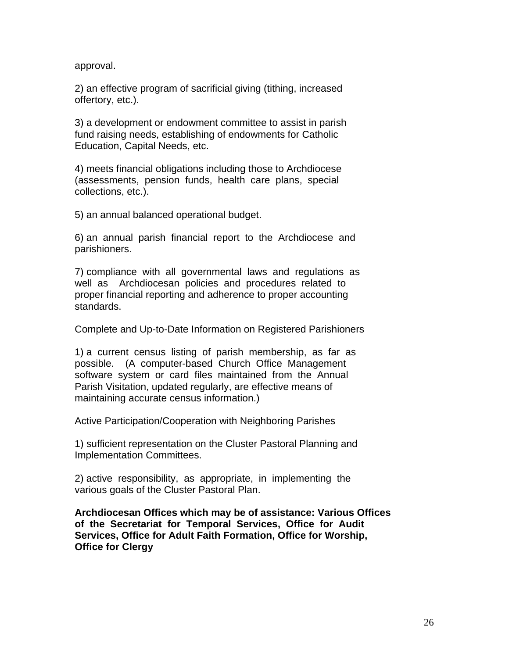approval.

2) an effective program of sacrificial giving (tithing, increased offertory, etc.).

3) a development or endowment committee to assist in parish fund raising needs, establishing of endowments for Catholic Education, Capital Needs, etc.

4) meets financial obligations including those to Archdiocese (assessments, pension funds, health care plans, special collections, etc.).

5) an annual balanced operational budget.

6) an annual parish financial report to the Archdiocese and parishioners.

7) compliance with all governmental laws and regulations as well as Archdiocesan policies and procedures related to proper financial reporting and adherence to proper accounting standards.

Complete and Up-to-Date Information on Registered Parishioners

1) a current census listing of parish membership, as far as possible. (A computer-based Church Office Management software system or card files maintained from the Annual Parish Visitation, updated regularly, are effective means of maintaining accurate census information.)

Active Participation/Cooperation with Neighboring Parishes

1) sufficient representation on the Cluster Pastoral Planning and Implementation Committees.

2) active responsibility, as appropriate, in implementing the various goals of the Cluster Pastoral Plan.

**Archdiocesan Offices which may be of assistance: Various Offices of the Secretariat for Temporal Services, Office for Audit Services, Office for Adult Faith Formation, Office for Worship, Office for Clergy**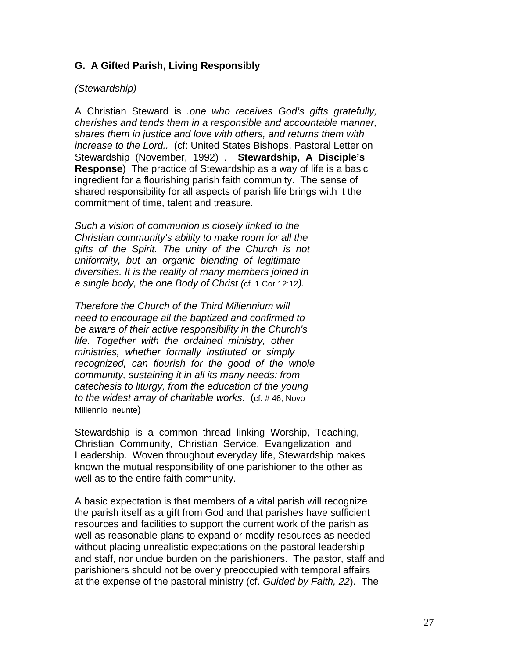# **G. A Gifted Parish, Living Responsibly**

#### *(Stewardship)*

A Christian Steward is *.one who receives God's gifts gratefully, cherishes and tends them in a responsible and accountable manner, shares them in justice and love with others, and returns them with increase to the Lord..* (cf: United States Bishops. Pastoral Letter on Stewardship (November, 1992) . **Stewardship, A Disciple's Response**) The practice of Stewardship as a way of life is a basic ingredient for a flourishing parish faith community. The sense of shared responsibility for all aspects of parish life brings with it the commitment of time, talent and treasure.

*Such a vision of communion is closely linked to the Christian community's ability to make room for all the gifts of the Spirit. The unity of the Church is not uniformity, but an organic blending of legitimate diversities. It is the reality of many members joined in a single body, the one Body of Christ (*cf. 1 Cor 12:12*).*

*Therefore the Church of the Third Millennium will need to encourage all the baptized and confirmed to be aware of their active responsibility in the Church's life. Together with the ordained ministry, other ministries, whether formally instituted or simply recognized, can flourish for the good of the whole community, sustaining it in all its many needs: from catechesis to liturgy, from the education of the young to the widest array of charitable works.* (cf: # 46, Novo Millennio Ineunte)

Stewardship is a common thread linking Worship, Teaching, Christian Community, Christian Service, Evangelization and Leadership. Woven throughout everyday life, Stewardship makes known the mutual responsibility of one parishioner to the other as well as to the entire faith community.

A basic expectation is that members of a vital parish will recognize the parish itself as a gift from God and that parishes have sufficient resources and facilities to support the current work of the parish as well as reasonable plans to expand or modify resources as needed without placing unrealistic expectations on the pastoral leadership and staff, nor undue burden on the parishioners. The pastor, staff and parishioners should not be overly preoccupied with temporal affairs at the expense of the pastoral ministry (cf. *Guided by Faith, 22*). The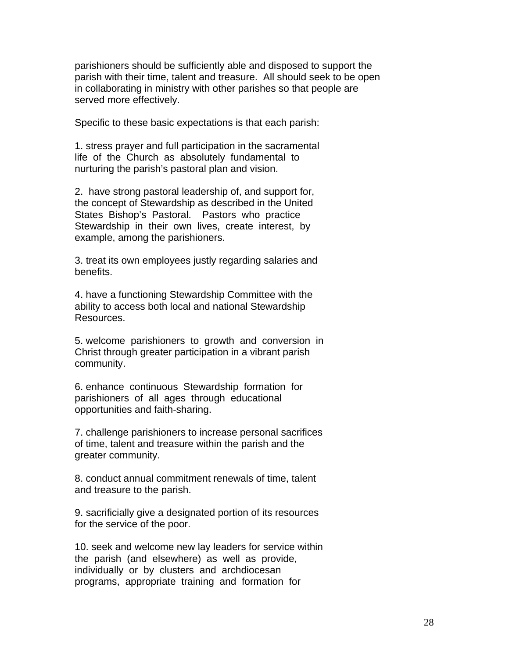parishioners should be sufficiently able and disposed to support the parish with their time, talent and treasure. All should seek to be open in collaborating in ministry with other parishes so that people are served more effectively.

Specific to these basic expectations is that each parish:

1. stress prayer and full participation in the sacramental life of the Church as absolutely fundamental to nurturing the parish's pastoral plan and vision.

2. have strong pastoral leadership of, and support for, the concept of Stewardship as described in the United States Bishop's Pastoral. Pastors who practice Stewardship in their own lives, create interest, by example, among the parishioners.

3. treat its own employees justly regarding salaries and benefits.

4. have a functioning Stewardship Committee with the ability to access both local and national Stewardship Resources.

5. welcome parishioners to growth and conversion in Christ through greater participation in a vibrant parish community.

6. enhance continuous Stewardship formation for parishioners of all ages through educational opportunities and faith-sharing.

7. challenge parishioners to increase personal sacrifices of time, talent and treasure within the parish and the greater community.

8. conduct annual commitment renewals of time, talent and treasure to the parish.

9. sacrificially give a designated portion of its resources for the service of the poor.

10. seek and welcome new lay leaders for service within the parish (and elsewhere) as well as provide, individually or by clusters and archdiocesan programs, appropriate training and formation for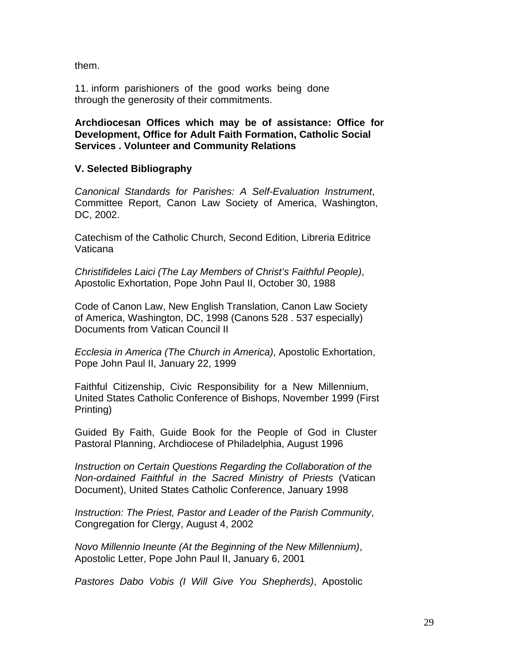them.

11. inform parishioners of the good works being done through the generosity of their commitments.

**Archdiocesan Offices which may be of assistance: Office for Development, Office for Adult Faith Formation, Catholic Social Services . Volunteer and Community Relations**

## **V. Selected Bibliography**

*Canonical Standards for Parishes: A Self-Evaluation Instrument*, Committee Report, Canon Law Society of America, Washington, DC, 2002.

Catechism of the Catholic Church, Second Edition, Libreria Editrice Vaticana

*Christifideles Laici (The Lay Members of Christ's Faithful People)*, Apostolic Exhortation, Pope John Paul II, October 30, 1988

Code of Canon Law, New English Translation, Canon Law Society of America, Washington, DC, 1998 (Canons 528 . 537 especially) Documents from Vatican Council II

*Ecclesia in America (The Church in America)*, Apostolic Exhortation, Pope John Paul II, January 22, 1999

Faithful Citizenship, Civic Responsibility for a New Millennium, United States Catholic Conference of Bishops, November 1999 (First Printing)

Guided By Faith, Guide Book for the People of God in Cluster Pastoral Planning, Archdiocese of Philadelphia, August 1996

*Instruction on Certain Questions Regarding the Collaboration of the Non-ordained Faithful in the Sacred Ministry of Priests* (Vatican Document), United States Catholic Conference, January 1998

*Instruction: The Priest, Pastor and Leader of the Parish Community*, Congregation for Clergy, August 4, 2002

*Novo Millennio Ineunte (At the Beginning of the New Millennium)*, Apostolic Letter, Pope John Paul II, January 6, 2001

*Pastores Dabo Vobis (I Will Give You Shepherds)*, Apostolic